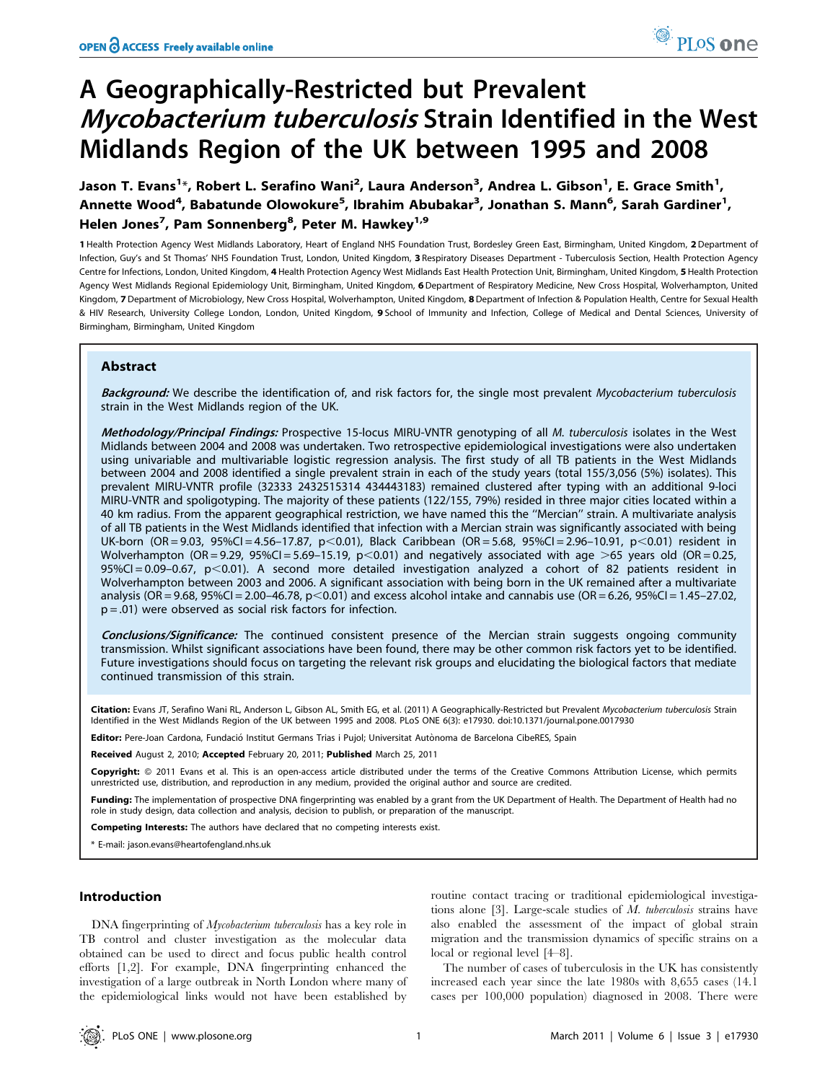# A Geographically-Restricted but Prevalent Mycobacterium tuberculosis Strain Identified in the West Midlands Region of the UK between 1995 and 2008

Jason T. Evans<sup>1</sup>\*, Robert L. Serafino Wani<sup>2</sup>, Laura Anderson<sup>3</sup>, Andrea L. Gibson<sup>1</sup>, E. Grace Smith<sup>1</sup>, Annette Wood<sup>4</sup>, Babatunde Olowokure<sup>5</sup>, Ibrahim Abubakar<sup>3</sup>, Jonathan S. Mann<sup>6</sup>, Sarah Gardiner<sup>1</sup>, Helen Jones<sup>7</sup>, Pam Sonnenberg<sup>8</sup>, Peter M. Hawkey<sup>1,9</sup>

1 Health Protection Agency West Midlands Laboratory, Heart of England NHS Foundation Trust, Bordesley Green East, Birmingham, United Kingdom, 2Department of Infection, Guy's and St Thomas' NHS Foundation Trust, London, United Kingdom, 3 Respiratory Diseases Department - Tuberculosis Section, Health Protection Agency Centre for Infections, London, United Kingdom, 4 Health Protection Agency West Midlands East Health Protection Unit, Birmingham, United Kingdom, 5 Health Protection Agency West Midlands Regional Epidemiology Unit, Birmingham, United Kingdom, 6 Department of Respiratory Medicine, New Cross Hospital, Wolverhampton, United Kingdom, 7 Department of Microbiology, New Cross Hospital, Wolverhampton, United Kingdom, 8 Department of Infection & Population Health, Centre for Sexual Health & HIV Research, University College London, London, United Kingdom, 9 School of Immunity and Infection, College of Medical and Dental Sciences, University of Birmingham, Birmingham, United Kingdom

# Abstract

Background: We describe the identification of, and risk factors for, the single most prevalent Mycobacterium tuberculosis strain in the West Midlands region of the UK.

Methodology/Principal Findings: Prospective 15-locus MIRU-VNTR genotyping of all M. tuberculosis isolates in the West Midlands between 2004 and 2008 was undertaken. Two retrospective epidemiological investigations were also undertaken using univariable and multivariable logistic regression analysis. The first study of all TB patients in the West Midlands between 2004 and 2008 identified a single prevalent strain in each of the study years (total 155/3,056 (5%) isolates). This prevalent MIRU-VNTR profile (32333 2432515314 434443183) remained clustered after typing with an additional 9-loci MIRU-VNTR and spoligotyping. The majority of these patients (122/155, 79%) resided in three major cities located within a 40 km radius. From the apparent geographical restriction, we have named this the ''Mercian'' strain. A multivariate analysis of all TB patients in the West Midlands identified that infection with a Mercian strain was significantly associated with being UK-born (OR = 9.03, 95%CI = 4.56-17.87, p<0.01), Black Caribbean (OR = 5.68, 95%CI = 2.96-10.91, p<0.01) resident in Wolverhampton (OR = 9.29, 95%CI = 5.69-15.19, p<0.01) and negatively associated with age >65 years old (OR = 0.25,  $95\%$ CI = 0.09-0.67, p $<$ 0.01). A second more detailed investigation analyzed a cohort of 82 patients resident in Wolverhampton between 2003 and 2006. A significant association with being born in the UK remained after a multivariate analysis (OR = 9.68, 95%CI = 2.00-46.78, p<0.01) and excess alcohol intake and cannabis use (OR = 6.26, 95%CI = 1.45-27.02,  $p = .01$ ) were observed as social risk factors for infection.

Conclusions/Significance: The continued consistent presence of the Mercian strain suggests ongoing community transmission. Whilst significant associations have been found, there may be other common risk factors yet to be identified. Future investigations should focus on targeting the relevant risk groups and elucidating the biological factors that mediate continued transmission of this strain.

Citation: Evans JT, Serafino Wani RL, Anderson L, Gibson AL, Smith EG, et al. (2011) A Geographically-Restricted but Prevalent Mycobacterium tuberculosis Strain Identified in the West Midlands Region of the UK between 1995 and 2008. PLoS ONE 6(3): e17930. doi:10.1371/journal.pone.0017930

Editor: Pere-Joan Cardona, Fundació Institut Germans Trias i Pujol; Universitat Autònoma de Barcelona CibeRES, Spain

Received August 2, 2010; Accepted February 20, 2011; Published March 25, 2011

Copyright: © 2011 Evans et al. This is an open-access article distributed under the terms of the Creative Commons Attribution License, which permits unrestricted use, distribution, and reproduction in any medium, provided the original author and source are credited.

Funding: The implementation of prospective DNA fingerprinting was enabled by a grant from the UK Department of Health. The Department of Health had no role in study design, data collection and analysis, decision to publish, or preparation of the manuscript.

Competing Interests: The authors have declared that no competing interests exist.

\* E-mail: jason.evans@heartofengland.nhs.uk

## Introduction

DNA fingerprinting of *Mycobacterium tuberculosis* has a key role in TB control and cluster investigation as the molecular data obtained can be used to direct and focus public health control efforts [1,2]. For example, DNA fingerprinting enhanced the investigation of a large outbreak in North London where many of the epidemiological links would not have been established by

routine contact tracing or traditional epidemiological investigations alone [3]. Large-scale studies of  $M$ . tuberculosis strains have also enabled the assessment of the impact of global strain migration and the transmission dynamics of specific strains on a local or regional level [4–8].

The number of cases of tuberculosis in the UK has consistently increased each year since the late 1980s with 8,655 cases (14.1 cases per 100,000 population) diagnosed in 2008. There were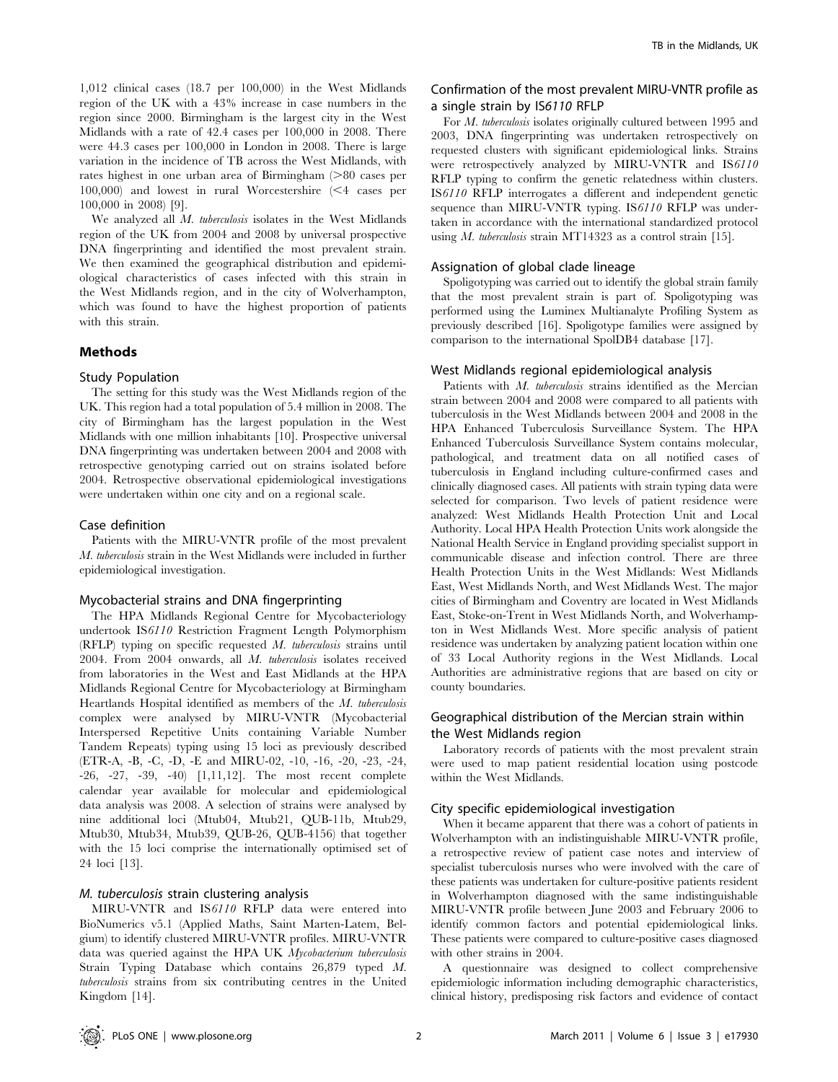1,012 clinical cases (18.7 per 100,000) in the West Midlands region of the UK with a 43% increase in case numbers in the region since 2000. Birmingham is the largest city in the West Midlands with a rate of 42.4 cases per 100,000 in 2008. There were 44.3 cases per 100,000 in London in 2008. There is large variation in the incidence of TB across the West Midlands, with rates highest in one urban area of Birmingham  $(>80$  cases per 100,000) and lowest in rural Worcestershire  $\leq 4$  cases per 100,000 in 2008) [9].

We analyzed all M. tuberculosis isolates in the West Midlands region of the UK from 2004 and 2008 by universal prospective DNA fingerprinting and identified the most prevalent strain. We then examined the geographical distribution and epidemiological characteristics of cases infected with this strain in the West Midlands region, and in the city of Wolverhampton, which was found to have the highest proportion of patients with this strain.

## Methods

#### Study Population

The setting for this study was the West Midlands region of the UK. This region had a total population of 5.4 million in 2008. The city of Birmingham has the largest population in the West Midlands with one million inhabitants [10]. Prospective universal DNA fingerprinting was undertaken between 2004 and 2008 with retrospective genotyping carried out on strains isolated before 2004. Retrospective observational epidemiological investigations were undertaken within one city and on a regional scale.

#### Case definition

Patients with the MIRU-VNTR profile of the most prevalent M. tuberculosis strain in the West Midlands were included in further epidemiological investigation.

#### Mycobacterial strains and DNA fingerprinting

The HPA Midlands Regional Centre for Mycobacteriology undertook IS6110 Restriction Fragment Length Polymorphism (RFLP) typing on specific requested M. tuberculosis strains until 2004. From 2004 onwards, all M. tuberculosis isolates received from laboratories in the West and East Midlands at the HPA Midlands Regional Centre for Mycobacteriology at Birmingham Heartlands Hospital identified as members of the M. tuberculosis complex were analysed by MIRU-VNTR (Mycobacterial Interspersed Repetitive Units containing Variable Number Tandem Repeats) typing using 15 loci as previously described (ETR-A, -B, -C, -D, -E and MIRU-02, -10, -16, -20, -23, -24, -26, -27, -39, -40) [1,11,12]. The most recent complete calendar year available for molecular and epidemiological data analysis was 2008. A selection of strains were analysed by nine additional loci (Mtub04, Mtub21, QUB-11b, Mtub29, Mtub30, Mtub34, Mtub39, QUB-26, QUB-4156) that together with the 15 loci comprise the internationally optimised set of 24 loci [13].

# M. tuberculosis strain clustering analysis

MIRU-VNTR and IS6110 RFLP data were entered into BioNumerics v5.1 (Applied Maths, Saint Marten-Latem, Belgium) to identify clustered MIRU-VNTR profiles. MIRU-VNTR data was queried against the HPA UK Mycobacterium tuberculosis Strain Typing Database which contains 26,879 typed M. tuberculosis strains from six contributing centres in the United Kingdom [14].

# Confirmation of the most prevalent MIRU-VNTR profile as a single strain by IS6110 RFLP

For M. tuberculosis isolates originally cultured between 1995 and 2003, DNA fingerprinting was undertaken retrospectively on requested clusters with significant epidemiological links. Strains were retrospectively analyzed by MIRU-VNTR and IS6110 RFLP typing to confirm the genetic relatedness within clusters. IS6110 RFLP interrogates a different and independent genetic sequence than MIRU-VNTR typing. IS6110 RFLP was undertaken in accordance with the international standardized protocol using *M. tuberculosis* strain MT14323 as a control strain [15].

# Assignation of global clade lineage

Spoligotyping was carried out to identify the global strain family that the most prevalent strain is part of. Spoligotyping was performed using the Luminex Multianalyte Profiling System as previously described [16]. Spoligotype families were assigned by comparison to the international SpolDB4 database [17].

# West Midlands regional epidemiological analysis

Patients with M. tuberculosis strains identified as the Mercian strain between 2004 and 2008 were compared to all patients with tuberculosis in the West Midlands between 2004 and 2008 in the HPA Enhanced Tuberculosis Surveillance System. The HPA Enhanced Tuberculosis Surveillance System contains molecular, pathological, and treatment data on all notified cases of tuberculosis in England including culture-confirmed cases and clinically diagnosed cases. All patients with strain typing data were selected for comparison. Two levels of patient residence were analyzed: West Midlands Health Protection Unit and Local Authority. Local HPA Health Protection Units work alongside the National Health Service in England providing specialist support in communicable disease and infection control. There are three Health Protection Units in the West Midlands: West Midlands East, West Midlands North, and West Midlands West. The major cities of Birmingham and Coventry are located in West Midlands East, Stoke-on-Trent in West Midlands North, and Wolverhampton in West Midlands West. More specific analysis of patient residence was undertaken by analyzing patient location within one of 33 Local Authority regions in the West Midlands. Local Authorities are administrative regions that are based on city or county boundaries.

# Geographical distribution of the Mercian strain within the West Midlands region

Laboratory records of patients with the most prevalent strain were used to map patient residential location using postcode within the West Midlands.

#### City specific epidemiological investigation

When it became apparent that there was a cohort of patients in Wolverhampton with an indistinguishable MIRU-VNTR profile, a retrospective review of patient case notes and interview of specialist tuberculosis nurses who were involved with the care of these patients was undertaken for culture-positive patients resident in Wolverhampton diagnosed with the same indistinguishable MIRU-VNTR profile between June 2003 and February 2006 to identify common factors and potential epidemiological links. These patients were compared to culture-positive cases diagnosed with other strains in 2004.

A questionnaire was designed to collect comprehensive epidemiologic information including demographic characteristics, clinical history, predisposing risk factors and evidence of contact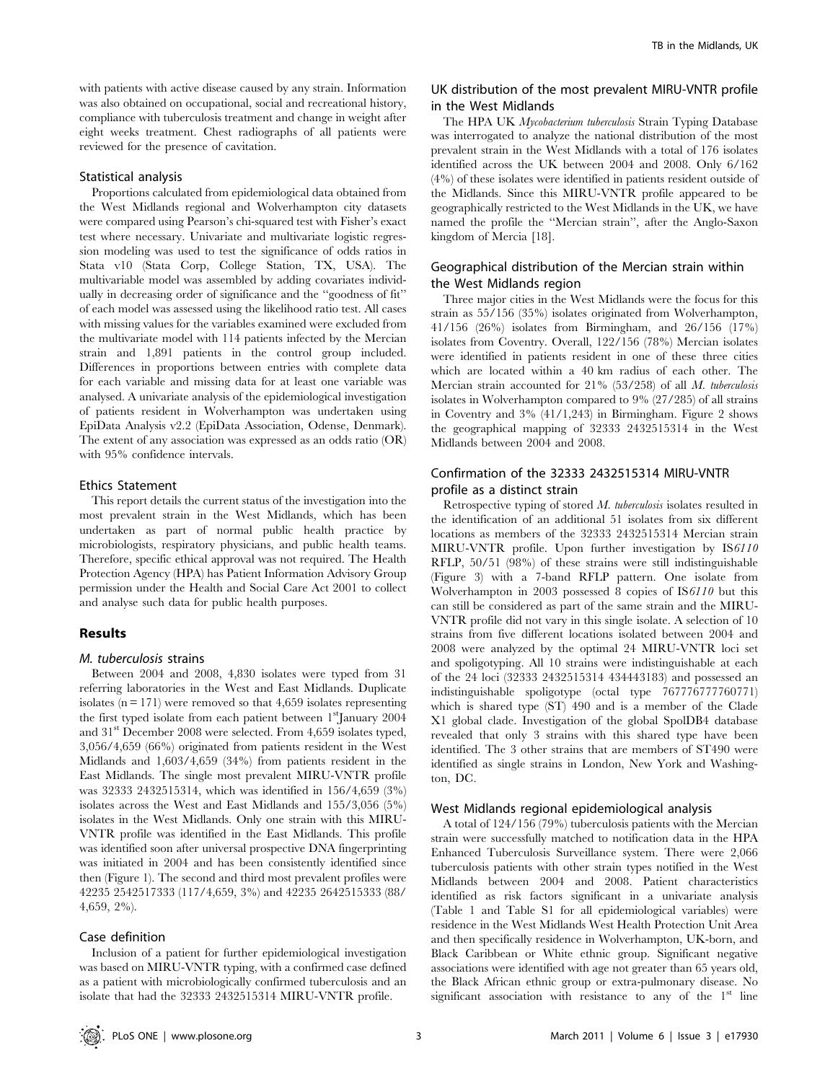with patients with active disease caused by any strain. Information was also obtained on occupational, social and recreational history, compliance with tuberculosis treatment and change in weight after eight weeks treatment. Chest radiographs of all patients were reviewed for the presence of cavitation.

# Statistical analysis

Proportions calculated from epidemiological data obtained from the West Midlands regional and Wolverhampton city datasets were compared using Pearson's chi-squared test with Fisher's exact test where necessary. Univariate and multivariate logistic regression modeling was used to test the significance of odds ratios in Stata v10 (Stata Corp, College Station, TX, USA). The multivariable model was assembled by adding covariates individually in decreasing order of significance and the ''goodness of fit'' of each model was assessed using the likelihood ratio test. All cases with missing values for the variables examined were excluded from the multivariate model with 114 patients infected by the Mercian strain and 1,891 patients in the control group included. Differences in proportions between entries with complete data for each variable and missing data for at least one variable was analysed. A univariate analysis of the epidemiological investigation of patients resident in Wolverhampton was undertaken using EpiData Analysis v2.2 (EpiData Association, Odense, Denmark). The extent of any association was expressed as an odds ratio (OR) with 95% confidence intervals.

## Ethics Statement

This report details the current status of the investigation into the most prevalent strain in the West Midlands, which has been undertaken as part of normal public health practice by microbiologists, respiratory physicians, and public health teams. Therefore, specific ethical approval was not required. The Health Protection Agency (HPA) has Patient Information Advisory Group permission under the Health and Social Care Act 2001 to collect and analyse such data for public health purposes.

## Results

## M. tuberculosis strains

Between 2004 and 2008, 4,830 isolates were typed from 31 referring laboratories in the West and East Midlands. Duplicate isolates ( $n = 171$ ) were removed so that 4,659 isolates representing the first typed isolate from each patient between  $1<sup>st</sup>$ January 2004 and 31<sup>st</sup> December 2008 were selected. From 4,659 isolates typed, 3,056/4,659 (66%) originated from patients resident in the West Midlands and 1,603/4,659 (34%) from patients resident in the East Midlands. The single most prevalent MIRU-VNTR profile was 32333 2432515314, which was identified in 156/4,659 (3%) isolates across the West and East Midlands and 155/3,056 (5%) isolates in the West Midlands. Only one strain with this MIRU-VNTR profile was identified in the East Midlands. This profile was identified soon after universal prospective DNA fingerprinting was initiated in 2004 and has been consistently identified since then (Figure 1). The second and third most prevalent profiles were 42235 2542517333 (117/4,659, 3%) and 42235 2642515333 (88/ 4,659, 2%).

#### Case definition

Inclusion of a patient for further epidemiological investigation was based on MIRU-VNTR typing, with a confirmed case defined as a patient with microbiologically confirmed tuberculosis and an isolate that had the 32333 2432515314 MIRU-VNTR profile.

# UK distribution of the most prevalent MIRU-VNTR profile in the West Midlands

The HPA UK Mycobacterium tuberculosis Strain Typing Database was interrogated to analyze the national distribution of the most prevalent strain in the West Midlands with a total of 176 isolates identified across the UK between 2004 and 2008. Only 6/162 (4%) of these isolates were identified in patients resident outside of the Midlands. Since this MIRU-VNTR profile appeared to be geographically restricted to the West Midlands in the UK, we have named the profile the ''Mercian strain'', after the Anglo-Saxon kingdom of Mercia [18].

# Geographical distribution of the Mercian strain within the West Midlands region

Three major cities in the West Midlands were the focus for this strain as 55/156 (35%) isolates originated from Wolverhampton, 41/156 (26%) isolates from Birmingham, and 26/156 (17%) isolates from Coventry. Overall, 122/156 (78%) Mercian isolates were identified in patients resident in one of these three cities which are located within a 40 km radius of each other. The Mercian strain accounted for 21% (53/258) of all M. tuberculosis isolates in Wolverhampton compared to 9% (27/285) of all strains in Coventry and 3% (41/1,243) in Birmingham. Figure 2 shows the geographical mapping of 32333 2432515314 in the West Midlands between 2004 and 2008.

# Confirmation of the 32333 2432515314 MIRU-VNTR profile as a distinct strain

Retrospective typing of stored M. tuberculosis isolates resulted in the identification of an additional 51 isolates from six different locations as members of the 32333 2432515314 Mercian strain MIRU-VNTR profile. Upon further investigation by IS6110 RFLP, 50/51 (98%) of these strains were still indistinguishable (Figure 3) with a 7-band RFLP pattern. One isolate from Wolverhampton in 2003 possessed 8 copies of IS6110 but this can still be considered as part of the same strain and the MIRU-VNTR profile did not vary in this single isolate. A selection of 10 strains from five different locations isolated between 2004 and 2008 were analyzed by the optimal 24 MIRU-VNTR loci set and spoligotyping. All 10 strains were indistinguishable at each of the 24 loci (32333 2432515314 434443183) and possessed an indistinguishable spoligotype (octal type 767776777760771) which is shared type (ST) 490 and is a member of the Clade X1 global clade. Investigation of the global SpolDB4 database revealed that only 3 strains with this shared type have been identified. The 3 other strains that are members of ST490 were identified as single strains in London, New York and Washington, DC.

#### West Midlands regional epidemiological analysis

A total of 124/156 (79%) tuberculosis patients with the Mercian strain were successfully matched to notification data in the HPA Enhanced Tuberculosis Surveillance system. There were 2,066 tuberculosis patients with other strain types notified in the West Midlands between 2004 and 2008. Patient characteristics identified as risk factors significant in a univariate analysis (Table 1 and Table S1 for all epidemiological variables) were residence in the West Midlands West Health Protection Unit Area and then specifically residence in Wolverhampton, UK-born, and Black Caribbean or White ethnic group. Significant negative associations were identified with age not greater than 65 years old, the Black African ethnic group or extra-pulmonary disease. No significant association with resistance to any of the  $1<sup>st</sup>$  line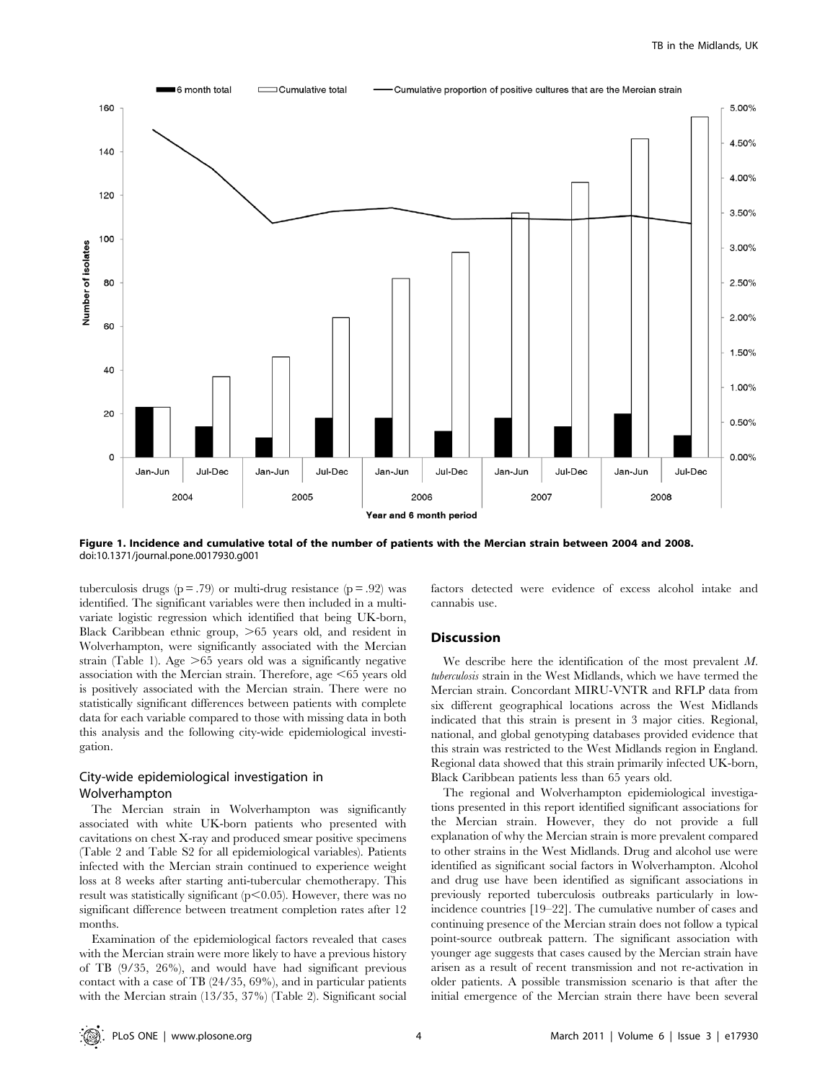

Figure 1. Incidence and cumulative total of the number of patients with the Mercian strain between 2004 and 2008. doi:10.1371/journal.pone.0017930.g001

tuberculosis drugs ( $p = .79$ ) or multi-drug resistance ( $p = .92$ ) was identified. The significant variables were then included in a multivariate logistic regression which identified that being UK-born, Black Caribbean ethnic group,  $>65$  years old, and resident in Wolverhampton, were significantly associated with the Mercian strain (Table 1). Age  $>65$  years old was a significantly negative association with the Mercian strain. Therefore, age  $<65$  years old is positively associated with the Mercian strain. There were no statistically significant differences between patients with complete data for each variable compared to those with missing data in both this analysis and the following city-wide epidemiological investigation.

# City-wide epidemiological investigation in Wolverhampton

The Mercian strain in Wolverhampton was significantly associated with white UK-born patients who presented with cavitations on chest X-ray and produced smear positive specimens (Table 2 and Table S2 for all epidemiological variables). Patients infected with the Mercian strain continued to experience weight loss at 8 weeks after starting anti-tubercular chemotherapy. This result was statistically significant  $(p<0.05)$ . However, there was no significant difference between treatment completion rates after 12 months.

Examination of the epidemiological factors revealed that cases with the Mercian strain were more likely to have a previous history of TB (9/35, 26%), and would have had significant previous contact with a case of TB (24/35, 69%), and in particular patients with the Mercian strain (13/35, 37%) (Table 2). Significant social factors detected were evidence of excess alcohol intake and cannabis use.

## **Discussion**

We describe here the identification of the most prevalent M. tuberculosis strain in the West Midlands, which we have termed the Mercian strain. Concordant MIRU-VNTR and RFLP data from six different geographical locations across the West Midlands indicated that this strain is present in 3 major cities. Regional, national, and global genotyping databases provided evidence that this strain was restricted to the West Midlands region in England. Regional data showed that this strain primarily infected UK-born, Black Caribbean patients less than 65 years old.

The regional and Wolverhampton epidemiological investigations presented in this report identified significant associations for the Mercian strain. However, they do not provide a full explanation of why the Mercian strain is more prevalent compared to other strains in the West Midlands. Drug and alcohol use were identified as significant social factors in Wolverhampton. Alcohol and drug use have been identified as significant associations in previously reported tuberculosis outbreaks particularly in lowincidence countries [19–22]. The cumulative number of cases and continuing presence of the Mercian strain does not follow a typical point-source outbreak pattern. The significant association with younger age suggests that cases caused by the Mercian strain have arisen as a result of recent transmission and not re-activation in older patients. A possible transmission scenario is that after the initial emergence of the Mercian strain there have been several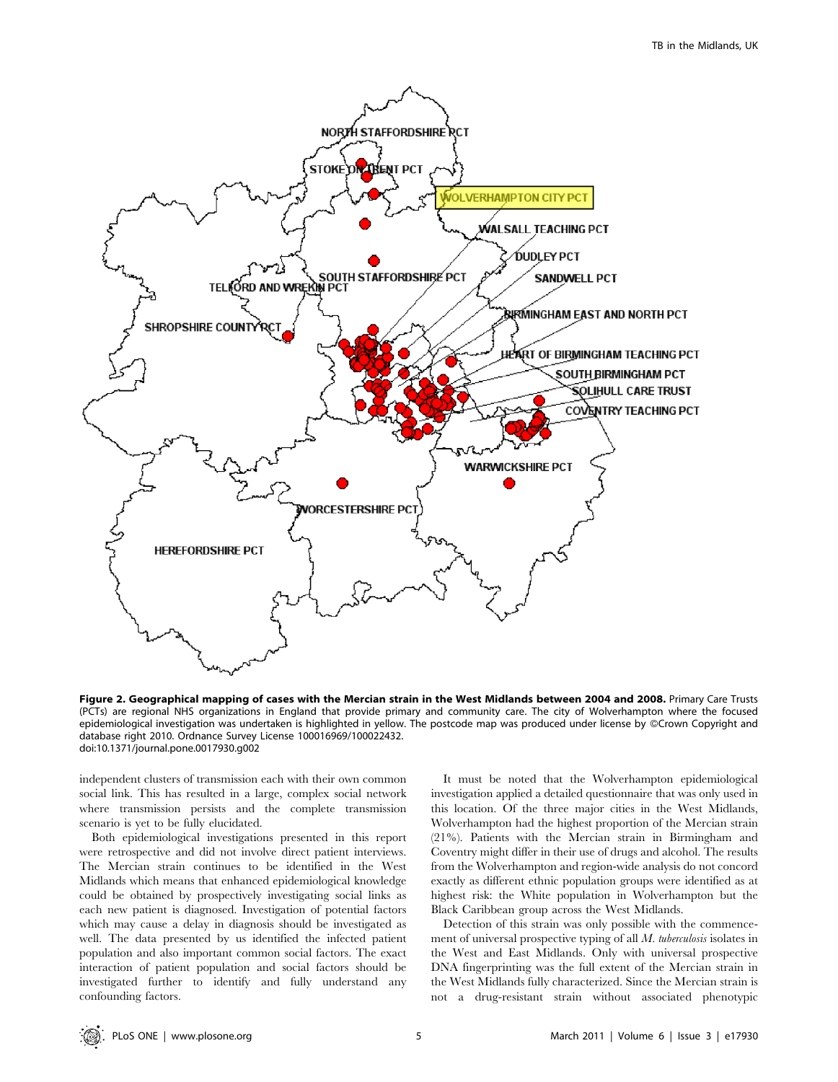

Figure 2. Geographical mapping of cases with the Mercian strain in the West Midlands between 2004 and 2008. Primary Care Trusts (PCTs) are regional NHS organizations in England that provide primary and community care. The city of Wolverhampton where the focused epidemiological investigation was undertaken is highlighted in yellow. The postcode map was produced under license by ©Crown Copyright and database right 2010. Ordnance Survey License 100016969/100022432. doi:10.1371/journal.pone.0017930.g002

independent clusters of transmission each with their own common social link. This has resulted in a large, complex social network where transmission persists and the complete transmission scenario is yet to be fully elucidated.

Both epidemiological investigations presented in this report were retrospective and did not involve direct patient interviews. The Mercian strain continues to be identified in the West Midlands which means that enhanced epidemiological knowledge could be obtained by prospectively investigating social links as each new patient is diagnosed. Investigation of potential factors which may cause a delay in diagnosis should be investigated as well. The data presented by us identified the infected patient population and also important common social factors. The exact interaction of patient population and social factors should be investigated further to identify and fully understand any confounding factors.

It must be noted that the Wolverhampton epidemiological investigation applied a detailed questionnaire that was only used in this location. Of the three major cities in the West Midlands, Wolverhampton had the highest proportion of the Mercian strain (21%). Patients with the Mercian strain in Birmingham and Coventry might differ in their use of drugs and alcohol. The results from the Wolverhampton and region-wide analysis do not concord exactly as different ethnic population groups were identified as at highest risk: the White population in Wolverhampton but the Black Caribbean group across the West Midlands.

Detection of this strain was only possible with the commencement of universal prospective typing of all M. tuberculosis isolates in the West and East Midlands. Only with universal prospective DNA fingerprinting was the full extent of the Mercian strain in the West Midlands fully characterized. Since the Mercian strain is not a drug-resistant strain without associated phenotypic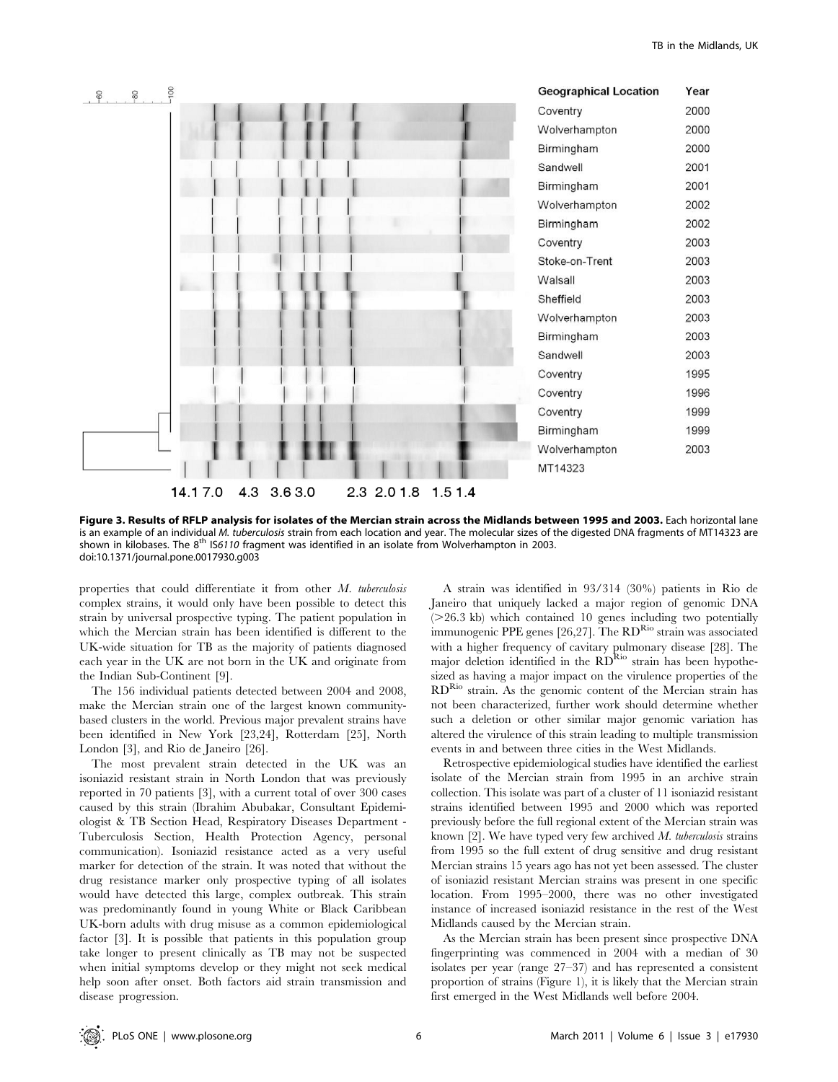

Figure 3. Results of RFLP analysis for isolates of the Mercian strain across the Midlands between 1995 and 2003. Each horizontal lane is an example of an individual M. tuberculosis strain from each location and year. The molecular sizes of the digested DNA fragments of MT14323 are shown in kilobases. The 8<sup>th</sup> IS6110 fragment was identified in an isolate from Wolverhampton in 2003. doi:10.1371/journal.pone.0017930.g003

properties that could differentiate it from other M. tuberculosis complex strains, it would only have been possible to detect this strain by universal prospective typing. The patient population in which the Mercian strain has been identified is different to the UK-wide situation for TB as the majority of patients diagnosed each year in the UK are not born in the UK and originate from the Indian Sub-Continent [9].

The 156 individual patients detected between 2004 and 2008, make the Mercian strain one of the largest known communitybased clusters in the world. Previous major prevalent strains have been identified in New York [23,24], Rotterdam [25], North London [3], and Rio de Janeiro [26].

The most prevalent strain detected in the UK was an isoniazid resistant strain in North London that was previously reported in 70 patients [3], with a current total of over 300 cases caused by this strain (Ibrahim Abubakar, Consultant Epidemiologist & TB Section Head, Respiratory Diseases Department - Tuberculosis Section, Health Protection Agency, personal communication). Isoniazid resistance acted as a very useful marker for detection of the strain. It was noted that without the drug resistance marker only prospective typing of all isolates would have detected this large, complex outbreak. This strain was predominantly found in young White or Black Caribbean UK-born adults with drug misuse as a common epidemiological factor [3]. It is possible that patients in this population group take longer to present clinically as TB may not be suspected when initial symptoms develop or they might not seek medical help soon after onset. Both factors aid strain transmission and disease progression.

A strain was identified in 93/314 (30%) patients in Rio de Janeiro that uniquely lacked a major region of genomic DNA  $(>=26.3 \text{ kb})$  which contained 10 genes including two potentially immunogenic PPE genes [26,27]. The RD<sup>Rio</sup> strain was associated with a higher frequency of cavitary pulmonary disease [28]. The major deletion identified in the RDRio strain has been hypothesized as having a major impact on the virulence properties of the RDRio strain. As the genomic content of the Mercian strain has not been characterized, further work should determine whether such a deletion or other similar major genomic variation has altered the virulence of this strain leading to multiple transmission events in and between three cities in the West Midlands.

Retrospective epidemiological studies have identified the earliest isolate of the Mercian strain from 1995 in an archive strain collection. This isolate was part of a cluster of 11 isoniazid resistant strains identified between 1995 and 2000 which was reported previously before the full regional extent of the Mercian strain was known  $[2]$ . We have typed very few archived M. tuberculosis strains from 1995 so the full extent of drug sensitive and drug resistant Mercian strains 15 years ago has not yet been assessed. The cluster of isoniazid resistant Mercian strains was present in one specific location. From 1995–2000, there was no other investigated instance of increased isoniazid resistance in the rest of the West Midlands caused by the Mercian strain.

As the Mercian strain has been present since prospective DNA fingerprinting was commenced in 2004 with a median of 30 isolates per year (range 27–37) and has represented a consistent proportion of strains (Figure 1), it is likely that the Mercian strain first emerged in the West Midlands well before 2004.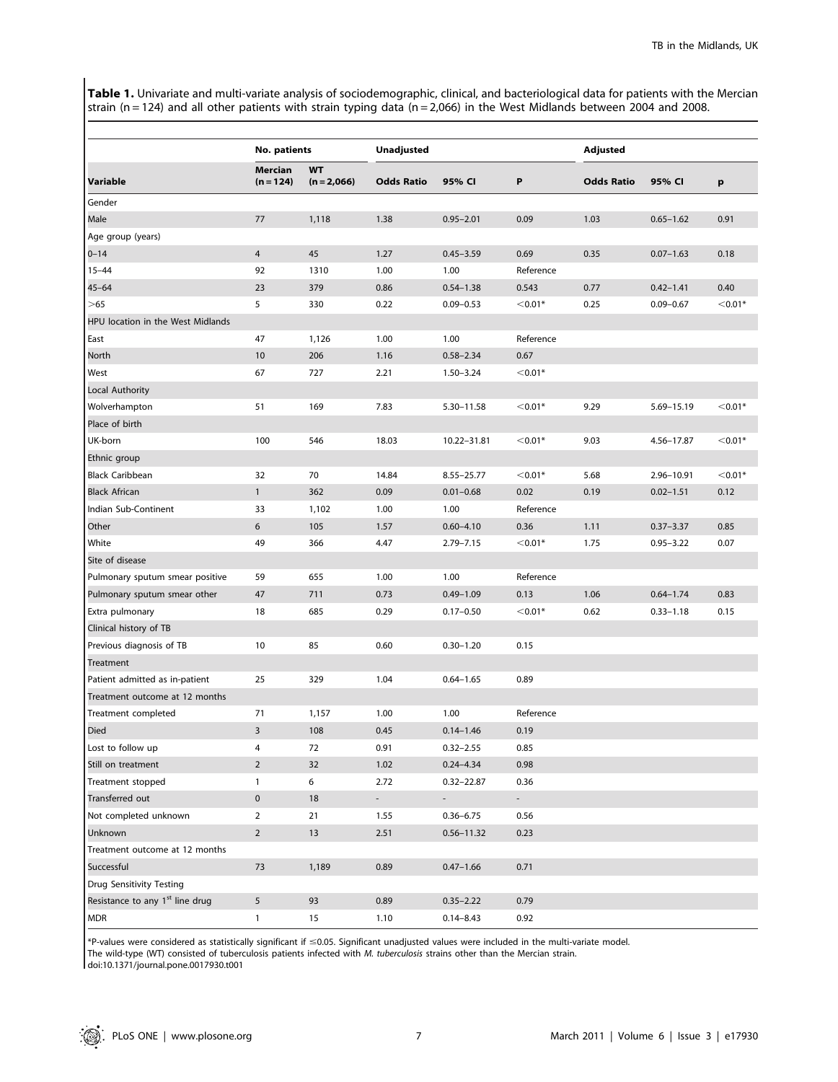Table 1. Univariate and multi-variate analysis of sociodemographic, clinical, and bacteriological data for patients with the Mercian strain (n = 124) and all other patients with strain typing data (n = 2,066) in the West Midlands between 2004 and 2008.

|                                             | <b>No. patients</b>    |                            | <b>Unadjusted</b>           |                |           | <b>Adjusted</b>   |               |           |
|---------------------------------------------|------------------------|----------------------------|-----------------------------|----------------|-----------|-------------------|---------------|-----------|
| Variable                                    | Mercian<br>$(n = 124)$ | <b>WT</b><br>$(n = 2,066)$ | <b>Odds Ratio</b>           | 95% CI         | P         | <b>Odds Ratio</b> | 95% CI        | p         |
| Gender                                      |                        |                            |                             |                |           |                   |               |           |
| Male                                        | 77                     | 1,118                      | 1.38                        | $0.95 - 2.01$  | 0.09      | 1.03              | $0.65 - 1.62$ | 0.91      |
| Age group (years)                           |                        |                            |                             |                |           |                   |               |           |
| $0 - 14$                                    | $\overline{4}$         | 45                         | 1.27                        | $0.45 - 3.59$  | 0.69      | 0.35              | $0.07 - 1.63$ | 0.18      |
| $15 - 44$                                   | 92                     | 1310                       | 1.00                        | 1.00           | Reference |                   |               |           |
| $45 - 64$                                   | 23                     | 379                        | 0.86                        | $0.54 - 1.38$  | 0.543     | 0.77              | $0.42 - 1.41$ | 0.40      |
| >65                                         | 5                      | 330                        | 0.22                        | $0.09 - 0.53$  | $< 0.01*$ | 0.25              | $0.09 - 0.67$ | $< 0.01*$ |
| HPU location in the West Midlands           |                        |                            |                             |                |           |                   |               |           |
| East                                        | 47                     | 1,126                      | 1.00                        | 1.00           | Reference |                   |               |           |
| North                                       | 10                     | 206                        | 1.16                        | $0.58 - 2.34$  | 0.67      |                   |               |           |
| West                                        | 67                     | 727                        | 2.21                        | $1.50 - 3.24$  | $< 0.01*$ |                   |               |           |
| Local Authority                             |                        |                            |                             |                |           |                   |               |           |
| Wolverhampton                               | 51                     | 169                        | 7.83                        | 5.30-11.58     | $< 0.01*$ | 9.29              | 5.69-15.19    | $< 0.01*$ |
| Place of birth                              |                        |                            |                             |                |           |                   |               |           |
| UK-born                                     | 100                    | 546                        | 18.03                       | 10.22-31.81    | $< 0.01*$ | 9.03              | 4.56-17.87    | $< 0.01*$ |
| Ethnic group                                |                        |                            |                             |                |           |                   |               |           |
| <b>Black Caribbean</b>                      | 32                     | 70                         | 14.84                       | $8.55 - 25.77$ | $< 0.01*$ | 5.68              | 2.96-10.91    | $< 0.01*$ |
| Black African                               | $\mathbf{1}$           | 362                        | 0.09                        | $0.01 - 0.68$  | 0.02      | 0.19              | $0.02 - 1.51$ | 0.12      |
| Indian Sub-Continent                        | 33                     | 1,102                      | 1.00                        | 1.00           | Reference |                   |               |           |
| Other                                       | 6                      | 105                        | 1.57                        | $0.60 - 4.10$  | 0.36      | 1.11              | $0.37 - 3.37$ | 0.85      |
| White                                       | 49                     | 366                        | 4.47                        | $2.79 - 7.15$  | $< 0.01*$ | 1.75              | $0.95 - 3.22$ | 0.07      |
| Site of disease                             |                        |                            |                             |                |           |                   |               |           |
| Pulmonary sputum smear positive             | 59                     | 655                        | 1.00                        | 1.00           | Reference |                   |               |           |
| Pulmonary sputum smear other                | 47                     | 711                        | 0.73                        | $0.49 - 1.09$  | 0.13      | 1.06              | $0.64 - 1.74$ | 0.83      |
| Extra pulmonary                             | 18                     | 685                        | 0.29                        | $0.17 - 0.50$  | $< 0.01*$ | 0.62              | $0.33 - 1.18$ | 0.15      |
| Clinical history of TB                      |                        |                            |                             |                |           |                   |               |           |
| Previous diagnosis of TB                    | 10                     | 85                         | 0.60                        | $0.30 - 1.20$  | 0.15      |                   |               |           |
| Treatment                                   |                        |                            |                             |                |           |                   |               |           |
| Patient admitted as in-patient              | 25                     | 329                        | 1.04                        | $0.64 - 1.65$  | 0.89      |                   |               |           |
| Treatment outcome at 12 months              |                        |                            |                             |                |           |                   |               |           |
| Treatment completed                         | 71                     | 1,157                      | 1.00                        | 1.00           | Reference |                   |               |           |
| Died                                        | 3                      | 108                        | 0.45                        | $0.14 - 1.46$  | 0.19      |                   |               |           |
| Lost to follow up                           | 4                      | 72                         | 0.91                        | $0.32 - 2.55$  | 0.85      |                   |               |           |
| Still on treatment                          | $\overline{2}$         | 32                         | 1.02                        | $0.24 - 4.34$  | 0.98      |                   |               |           |
| Treatment stopped                           | $\mathbf{1}$           | 6                          | 2.72                        | $0.32 - 22.87$ | 0.36      |                   |               |           |
| Transferred out                             | $\pmb{0}$              | 18                         | $\mathcal{L}_{\mathcal{A}}$ | ÷.             | $\sim$    |                   |               |           |
| Not completed unknown                       | $\overline{2}$         | 21                         | 1.55                        | $0.36 - 6.75$  | 0.56      |                   |               |           |
| Unknown                                     | $\overline{2}$         | 13                         | 2.51                        | $0.56 - 11.32$ | 0.23      |                   |               |           |
| Treatment outcome at 12 months              |                        |                            |                             |                |           |                   |               |           |
| Successful                                  | 73                     | 1,189                      | 0.89                        | $0.47 - 1.66$  | 0.71      |                   |               |           |
| Drug Sensitivity Testing                    |                        |                            |                             |                |           |                   |               |           |
| Resistance to any 1 <sup>st</sup> line drug | 5                      | 93                         | 0.89                        | $0.35 - 2.22$  | 0.79      |                   |               |           |
| <b>MDR</b>                                  | $\mathbf{1}$           | 15                         | 1.10                        | $0.14 - 8.43$  | 0.92      |                   |               |           |

 $*$ P-values were considered as statistically significant if  $\leq$ 0.05. Significant unadjusted values were included in the multi-variate model.

The wild-type (WT) consisted of tuberculosis patients infected with M. tuberculosis strains other than the Mercian strain.

doi:10.1371/journal.pone.0017930.t001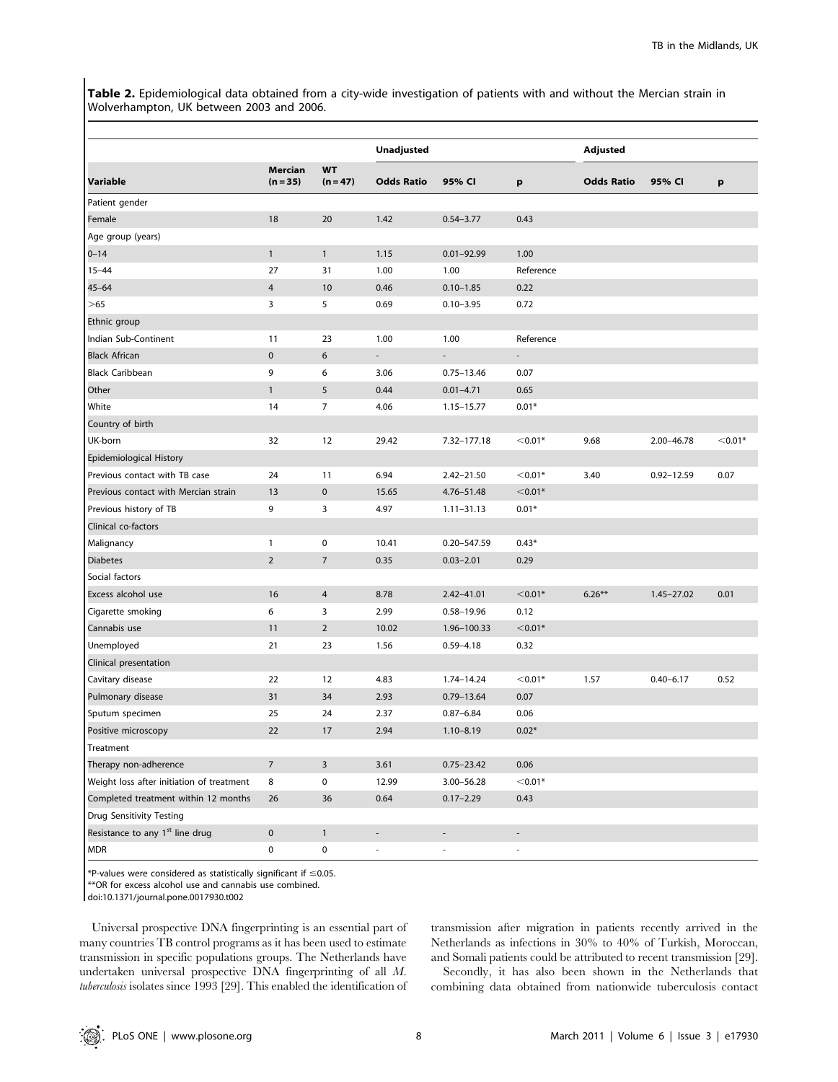Table 2. Epidemiological data obtained from a city-wide investigation of patients with and without the Mercian strain in Wolverhampton, UK between 2003 and 2006.

|                                             |                              | <b>WT</b><br>$(n = 47)$ | <b>Unadjusted</b>            |                          |                          | <b>Adjusted</b>   |                |           |
|---------------------------------------------|------------------------------|-------------------------|------------------------------|--------------------------|--------------------------|-------------------|----------------|-----------|
| Variable                                    | <b>Mercian</b><br>$(n = 35)$ |                         | <b>Odds Ratio</b>            | 95% CI                   | p                        | <b>Odds Ratio</b> | 95% CI         | p         |
| Patient gender                              |                              |                         |                              |                          |                          |                   |                |           |
| Female                                      | 18                           | 20                      | 1.42                         | $0.54 - 3.77$            | 0.43                     |                   |                |           |
| Age group (years)                           |                              |                         |                              |                          |                          |                   |                |           |
| $0 - 14$                                    | $\mathbf{1}$                 | $\mathbf{1}$            | 1.15                         | $0.01 - 92.99$           | 1.00                     |                   |                |           |
| $15 - 44$                                   | 27                           | 31                      | 1.00                         | 1.00                     | Reference                |                   |                |           |
| $45 - 64$                                   | 4                            | 10                      | 0.46                         | $0.10 - 1.85$            | 0.22                     |                   |                |           |
| $>\!\!65$                                   | 3                            | 5                       | 0.69                         | $0.10 - 3.95$            | 0.72                     |                   |                |           |
| Ethnic group                                |                              |                         |                              |                          |                          |                   |                |           |
| Indian Sub-Continent                        | 11                           | 23                      | 1.00                         | 1.00                     | Reference                |                   |                |           |
| <b>Black African</b>                        | $\mathbf 0$                  | 6                       | $\overline{\phantom{a}}$     | $\overline{\phantom{a}}$ | $\overline{\phantom{a}}$ |                   |                |           |
| <b>Black Caribbean</b>                      | 9                            | 6                       | 3.06                         | $0.75 - 13.46$           | 0.07                     |                   |                |           |
| Other                                       | $\mathbf{1}$                 | 5                       | 0.44                         | $0.01 - 4.71$            | 0.65                     |                   |                |           |
| White                                       | 14                           | 7                       | 4.06                         | 1.15-15.77               | $0.01*$                  |                   |                |           |
| Country of birth                            |                              |                         |                              |                          |                          |                   |                |           |
| UK-born                                     | 32                           | 12                      | 29.42                        | 7.32-177.18              | $< 0.01*$                | 9.68              | 2.00-46.78     | $<$ 0.01* |
| Epidemiological History                     |                              |                         |                              |                          |                          |                   |                |           |
| Previous contact with TB case               | 24                           | 11                      | 6.94                         | $2.42 - 21.50$           | $< 0.01*$                | 3.40              | $0.92 - 12.59$ | 0.07      |
| Previous contact with Mercian strain        | 13                           | $\mathbf 0$             | 15.65                        | 4.76-51.48               | $<$ 0.01*                |                   |                |           |
| Previous history of TB                      | 9                            | 3                       | 4.97                         | $1.11 - 31.13$           | $0.01*$                  |                   |                |           |
| Clinical co-factors                         |                              |                         |                              |                          |                          |                   |                |           |
| Malignancy                                  | $\mathbf{1}$                 | 0                       | 10.41                        | $0.20 - 547.59$          | $0.43*$                  |                   |                |           |
| <b>Diabetes</b>                             | $\overline{2}$               | 7                       | 0.35                         | $0.03 - 2.01$            | 0.29                     |                   |                |           |
| Social factors                              |                              |                         |                              |                          |                          |                   |                |           |
| Excess alcohol use                          | 16                           | 4                       | 8.78                         | 2.42-41.01               | $< 0.01*$                | $6.26***$         | $1.45 - 27.02$ | 0.01      |
| Cigarette smoking                           | 6                            | 3                       | 2.99                         | 0.58-19.96               | 0.12                     |                   |                |           |
| Cannabis use                                | 11                           | $\overline{2}$          | 10.02                        | 1.96-100.33              | $< 0.01*$                |                   |                |           |
| Unemployed                                  | 21                           | 23                      | 1.56                         | $0.59 - 4.18$            | 0.32                     |                   |                |           |
| Clinical presentation                       |                              |                         |                              |                          |                          |                   |                |           |
| Cavitary disease                            | 22                           | 12                      | 4.83                         | 1.74-14.24               | $< 0.01*$                | 1.57              | $0.40 - 6.17$  | 0.52      |
| Pulmonary disease                           | 31                           | 34                      | 2.93                         | $0.79 - 13.64$           | 0.07                     |                   |                |           |
| Sputum specimen                             | 25                           | 24                      | 2.37                         | $0.87 - 6.84$            | 0.06                     |                   |                |           |
| Positive microscopy                         | 22                           | 17                      | 2.94                         | $1.10 - 8.19$            | $0.02*$                  |                   |                |           |
| Treatment                                   |                              |                         |                              |                          |                          |                   |                |           |
| Therapy non-adherence                       | $\overline{7}$               | 3                       | 3.61                         | $0.75 - 23.42$           | 0.06                     |                   |                |           |
| Weight loss after initiation of treatment   | 8                            | $\pmb{0}$               | 12.99                        | 3.00-56.28               | $< 0.01*$                |                   |                |           |
| Completed treatment within 12 months        | 26                           | 36                      | 0.64                         | $0.17 - 2.29$            | 0.43                     |                   |                |           |
| <b>Drug Sensitivity Testing</b>             |                              |                         |                              |                          |                          |                   |                |           |
| Resistance to any 1 <sup>st</sup> line drug | $\mathbf 0$                  | $\mathbf{1}$            | $\qquad \qquad \blacksquare$ | $\overline{\phantom{a}}$ | $\overline{\phantom{a}}$ |                   |                |           |
| <b>MDR</b>                                  | 0                            | $\pmb{0}$               | ÷,                           | ÷,                       | $\blacksquare$           |                   |                |           |

 $*$ P-values were considered as statistically significant if  $\leq$ 0.05.

\*\*OR for excess alcohol use and cannabis use combined.

doi:10.1371/journal.pone.0017930.t002

Universal prospective DNA fingerprinting is an essential part of many countries TB control programs as it has been used to estimate transmission in specific populations groups. The Netherlands have undertaken universal prospective DNA fingerprinting of all M. tuberculosis isolates since 1993 [29]. This enabled the identification of transmission after migration in patients recently arrived in the Netherlands as infections in 30% to 40% of Turkish, Moroccan, and Somali patients could be attributed to recent transmission [29].

Secondly, it has also been shown in the Netherlands that combining data obtained from nationwide tuberculosis contact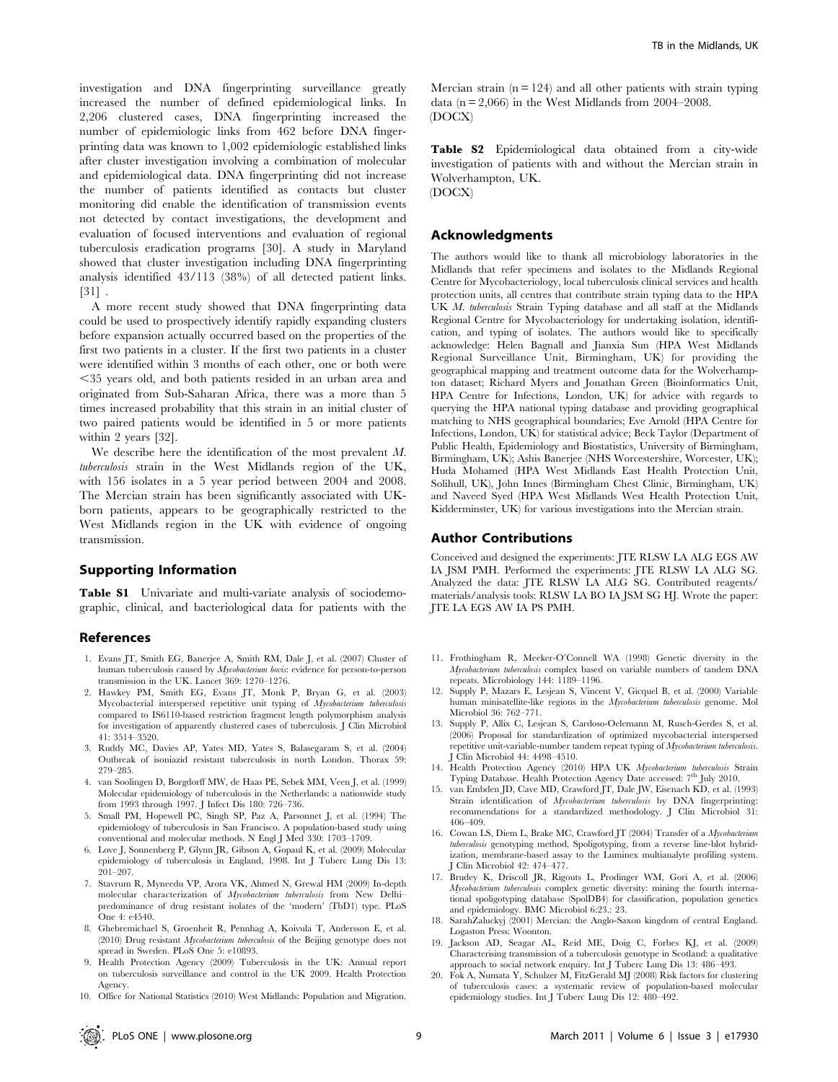investigation and DNA fingerprinting surveillance greatly increased the number of defined epidemiological links. In 2,206 clustered cases, DNA fingerprinting increased the number of epidemiologic links from 462 before DNA fingerprinting data was known to 1,002 epidemiologic established links after cluster investigation involving a combination of molecular and epidemiological data. DNA fingerprinting did not increase the number of patients identified as contacts but cluster monitoring did enable the identification of transmission events not detected by contact investigations, the development and evaluation of focused interventions and evaluation of regional tuberculosis eradication programs [30]. A study in Maryland showed that cluster investigation including DNA fingerprinting analysis identified 43/113 (38%) of all detected patient links. [31] .

A more recent study showed that DNA fingerprinting data could be used to prospectively identify rapidly expanding clusters before expansion actually occurred based on the properties of the first two patients in a cluster. If the first two patients in a cluster were identified within 3 months of each other, one or both were ,35 years old, and both patients resided in an urban area and originated from Sub-Saharan Africa, there was a more than 5 times increased probability that this strain in an initial cluster of two paired patients would be identified in 5 or more patients within 2 years [32].

We describe here the identification of the most prevalent M. tuberculosis strain in the West Midlands region of the UK, with 156 isolates in a 5 year period between 2004 and 2008. The Mercian strain has been significantly associated with UKborn patients, appears to be geographically restricted to the West Midlands region in the UK with evidence of ongoing transmission.

# Supporting Information

Table S1 Univariate and multi-variate analysis of sociodemographic, clinical, and bacteriological data for patients with the

## References

- 1. Evans JT, Smith EG, Banerjee A, Smith RM, Dale J, et al. (2007) Cluster of human tuberculosis caused by Mycobacterium bovis: evidence for person-to-person transmission in the UK. Lancet 369: 1270–1276.
- 2. Hawkey PM, Smith EG, Evans JT, Monk P, Bryan G, et al. (2003) Mycobacterial interspersed repetitive unit typing of Mycobacterium tuberculosis compared to IS6110-based restriction fragment length polymorphism analysis for investigation of apparently clustered cases of tuberculosis. J Clin Microbiol 41: 3514–3520.
- 3. Ruddy MC, Davies AP, Yates MD, Yates S, Balasegaram S, et al. (2004) Outbreak of isoniazid resistant tuberculosis in north London. Thorax 59: 279–285.
- 4. van Soolingen D, Borgdorff MW, de Haas PE, Sebek MM, Veen J, et al. (1999) Molecular epidemiology of tuberculosis in the Netherlands: a nationwide study from 1993 through 1997. J Infect Dis 180: 726–736.
- 5. Small PM, Hopewell PC, Singh SP, Paz A, Parsonnet J, et al. (1994) The epidemiology of tuberculosis in San Francisco. A population-based study using conventional and molecular methods. N Engl J Med 330: 1703–1709.
- 6. Love J, Sonnenberg P, Glynn JR, Gibson A, Gopaul K, et al. (2009) Molecular epidemiology of tuberculosis in England, 1998. Int J Tuberc Lung Dis 13: 201–207.
- 7. Stavrum R, Myneedu VP, Arora VK, Ahmed N, Grewal HM (2009) In-depth molecular characterization of Mycobacterium tuberculosis from New Delhi– predominance of drug resistant isolates of the 'modern' (TbD1) type. PLoS One 4: e4540.
- 8. Ghebremichael S, Groenheit R, Pennhag A, Koivula T, Andersson E, et al. (2010) Drug resistant Mycobacterium tuberculosis of the Beijing genotype does not spread in Sweden. PLoS One 5: e10893.
- 9. Health Protection Agency (2009) Tuberculosis in the UK: Annual report on tuberculosis surveillance and control in the UK 2009. Health Protection Agency.
- 10. Office for National Statistics (2010) West Midlands: Population and Migration.

Mercian strain  $(n = 124)$  and all other patients with strain typing data ( $n = 2,066$ ) in the West Midlands from 2004–2008. (DOCX)

Table S2 Epidemiological data obtained from a city-wide investigation of patients with and without the Mercian strain in Wolverhampton, UK. (DOCX)

## Acknowledgments

The authors would like to thank all microbiology laboratories in the Midlands that refer specimens and isolates to the Midlands Regional Centre for Mycobacteriology, local tuberculosis clinical services and health protection units, all centres that contribute strain typing data to the HPA UK M. tuberculosis Strain Typing database and all staff at the Midlands Regional Centre for Mycobacteriology for undertaking isolation, identification, and typing of isolates. The authors would like to specifically acknowledge: Helen Bagnall and Jianxia Sun (HPA West Midlands Regional Surveillance Unit, Birmingham, UK) for providing the geographical mapping and treatment outcome data for the Wolverhampton dataset; Richard Myers and Jonathan Green (Bioinformatics Unit, HPA Centre for Infections, London, UK) for advice with regards to querying the HPA national typing database and providing geographical matching to NHS geographical boundaries; Eve Arnold (HPA Centre for Infections, London, UK) for statistical advice; Beck Taylor (Department of Public Health, Epidemiology and Biostatistics, University of Birmingham, Birmingham, UK); Ashis Banerjee (NHS Worcestershire, Worcester, UK); Huda Mohamed (HPA West Midlands East Health Protection Unit, Solihull, UK), John Innes (Birmingham Chest Clinic, Birmingham, UK) and Naveed Syed (HPA West Midlands West Health Protection Unit, Kidderminster, UK) for various investigations into the Mercian strain.

#### Author Contributions

Conceived and designed the experiments: JTE RLSW LA ALG EGS AW IA JSM PMH. Performed the experiments: JTE RLSW LA ALG SG. Analyzed the data: JTE RLSW LA ALG SG. Contributed reagents/ materials/analysis tools: RLSW LA BO IA JSM SG HJ. Wrote the paper: JTE LA EGS AW IA PS PMH.

- 11. Frothingham R, Meeker-O'Connell WA (1998) Genetic diversity in the Mycobacterium tuberculosis complex based on variable numbers of tandem DNA repeats. Microbiology 144: 1189–1196.
- 12. Supply P, Mazars E, Lesjean S, Vincent V, Gicquel B, et al. (2000) Variable human minisatellite-like regions in the Mycobacterium tuberculosis genome. Mol Microbiol 36: 762–771.
- 13. Supply P, Allix C, Lesjean S, Cardoso-Oelemann M, Rusch-Gerdes S, et al. (2006) Proposal for standardization of optimized mycobacterial interspersed repetitive unit-variable-number tandem repeat typing of Mycobacterium tuberculosis. J Clin Microbiol 44: 4498–4510.
- 14. Health Protection Agency (2010) HPA UK *Mycobacterium tuberculosis* Strain Typing Database. Health Protection Agency Date accessed: 7<sup>th</sup> July 2010.
- 15. van Embden JD, Cave MD, Crawford JT, Dale JW, Eisenach KD, et al. (1993) Strain identification of Mycobacterium tuberculosis by DNA fingerprinting: recommendations for a standardized methodology. J Clin Microbiol 31: 406–409.
- 16. Cowan LS, Diem L, Brake MC, Crawford JT (2004) Transfer of a Mycobacterium tuberculosis genotyping method, Spoligotyping, from a reverse line-blot hybridization, membrane-based assay to the Luminex multianalyte profiling system. J Clin Microbiol 42: 474–477.
- 17. Brudey K, Driscoll JR, Rigouts L, Prodinger WM, Gori A, et al. (2006) Mycobacterium tuberculosis complex genetic diversity: mining the fourth international spoligotyping database (SpolDB4) for classification, population genetics and epidemiology. BMC Microbiol 6:23.: 23.
- 18. SarahZaluckyj (2001) Mercian: the Anglo-Saxon kingdom of central England. Logaston Press: Woonton.
- 19. Jackson AD, Seagar AL, Reid ME, Doig C, Forbes KJ, et al. (2009) Characterising transmission of a tuberculosis genotype in Scotland: a qualitative approach to social network enquiry. Int J Tuberc Lung Dis 13: 486–493.
- 20. Fok A, Numata Y, Schulzer M, FitzGerald MJ (2008) Risk factors for clustering of tuberculosis cases: a systematic review of population-based molecular epidemiology studies. Int J Tuberc Lung Dis 12: 480–492.